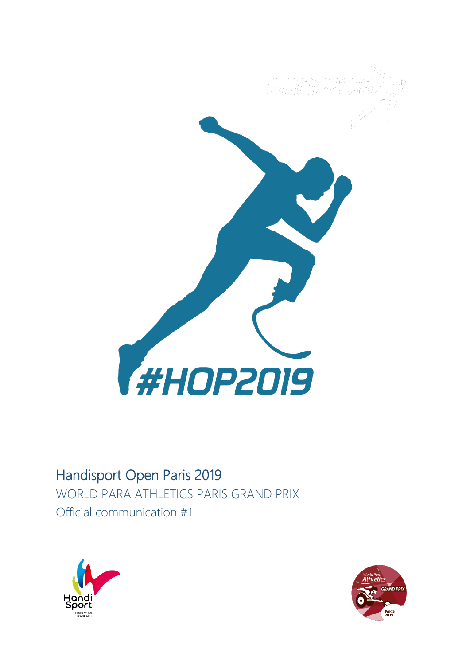

# Handisport Open Paris 2019

WORLD PARA ATHLETICS PARIS GRAND PRIX Official communication #1



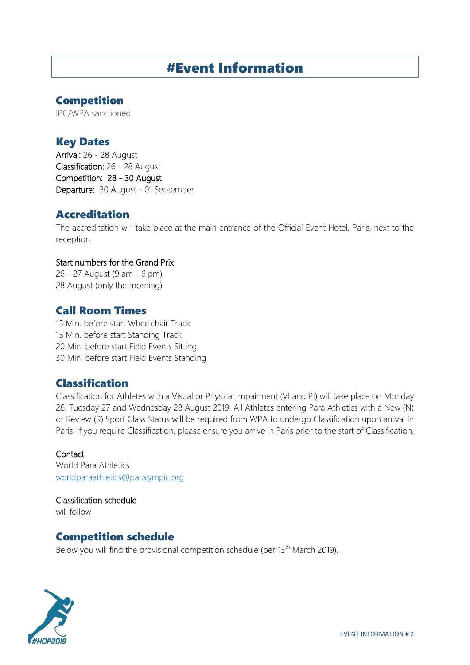# #Event Information

## Competition

IPC/WPA sanctioned

## Key Dates

Arrival: 26 - 28 August Classification: 26 - 28 August Competition: 28 - 30 August Departure: 30 August - 01 September

## Accreditation

The accreditation will take place at the main entrance of the Official Event Hotel, Paris, next to the reception.

#### Start numbers for the Grand Prix

26 - 27 August (9 am - 6 pm) 28 August (only the morning)

## Call Room Times

15 Min. before start Wheelchair Track 15 Min. before start Standing Track 20 Min. before start Field Events Sitting 30 Min. before start Field Events Standing

## Classification

Classification for Athletes with a Visual or Physical Impairment (VI and PI) will take place on Monday 26, Tuesday 27 and Wednesday 28 August 2019. All Athletes entering Para Athletics with a New (N) or Review (R) Sport Class Status will be required from WPA to undergo Classification upon arrival in Paris. If you require Classification, please ensure you arrive in Paris prior to the start of Classification.

#### **Contact**

World Para Athletics [worldparaathletics@paralympic.org](mailto:worldparaathletics@paralympic.org)

Classification schedule will follow

## Competition schedule

Below you will find the provisional competition schedule (per 13<sup>th</sup> March 2019).

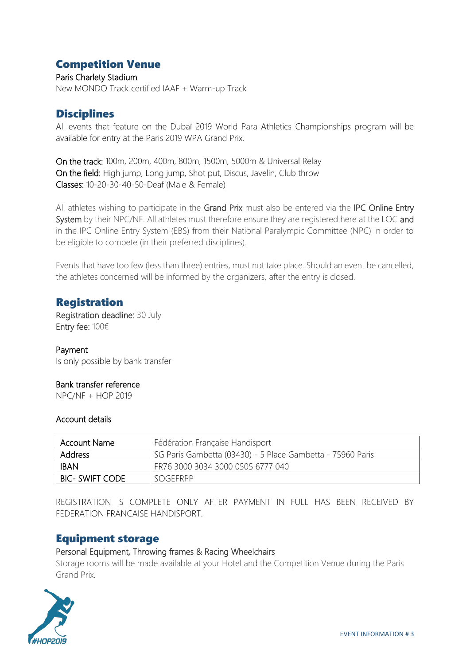## Competition Venue

Paris Charlety Stadium New MONDO Track certified IAAF + Warm-up Track

## **Disciplines**

All events that feature on the Dubaï 2019 World Para Athletics Championships program will be available for entry at the Paris 2019 WPA Grand Prix.

On the track: 100m, 200m, 400m, 800m, 1500m, 5000m & Universal Relay On the field: High jump, Long jump, Shot put, Discus, Javelin, Club throw Classes: 10-20-30-40-50-Deaf (Male & Female)

All athletes wishing to participate in the Grand Prix must also be entered via the IPC Online Entry System by their NPC/NF. All athletes must therefore ensure they are registered here at the LOC and in the IPC Online Entry System (EBS) from their National Paralympic Committee (NPC) in order to be eligible to compete (in their preferred disciplines).

Events that have too few (less than three) entries, must not take place. Should an event be cancelled, the athletes concerned will be informed by the organizers, after the entry is closed.

## Registration

Registration deadline: 30 July Entry fee: 100€

#### Payment

Is only possible by bank transfer

#### Bank transfer reference

NPC/NF + HOP 2019

#### Account details

| Account Name           | Fédération Française Handisport                            |
|------------------------|------------------------------------------------------------|
| Address                | SG Paris Gambetta (03430) - 5 Place Gambetta - 75960 Paris |
| <b>IBAN</b>            | FR76 3000 3034 3000 0505 6777 040                          |
| <b>BIC- SWIFT CODE</b> | SOGFFRPP                                                   |

REGISTRATION IS COMPLETE ONLY AFTER PAYMENT IN FULL HAS BEEN RECEIVED BY FEDERATION FRANCAISE HANDISPORT.

## Equipment storage

#### Personal Equipment, Throwing frames & Racing Wheelchairs

Storage rooms will be made available at your Hotel and the Competition Venue during the Paris Grand Prix.

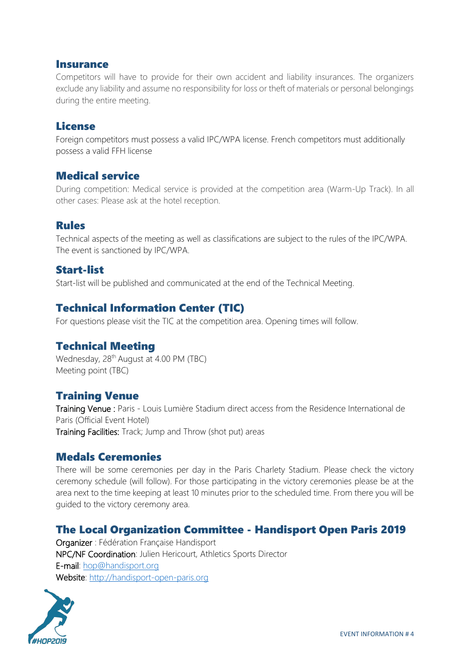#### Insurance

Competitors will have to provide for their own accident and liability insurances. The organizers exclude any liability and assume no responsibility for loss or theft of materials or personal belongings during the entire meeting.

### License

Foreign competitors must possess a valid IPC/WPA license. French competitors must additionally possess a valid FFH license

### Medical service

During competition: Medical service is provided at the competition area (Warm-Up Track). In all other cases: Please ask at the hotel reception.

#### Rules

Technical aspects of the meeting as well as classifications are subject to the rules of the IPC/WPA. The event is sanctioned by IPC/WPA.

### Start-list

Start-list will be published and communicated at the end of the Technical Meeting.

## Technical Information Center (TIC)

For questions please visit the TIC at the competition area. Opening times will follow.

## Technical Meeting

Wednesday, 28<sup>th</sup> August at 4.00 PM (TBC) Meeting point (TBC)

## Training Venue

Training Venue : Paris - Louis Lumière Stadium direct access from the Residence International de Paris (Official Event Hotel) Training Facilities: Track; Jump and Throw (shot put) areas

#### Medals Ceremonies

There will be some ceremonies per day in the Paris Charlety Stadium. Please check the victory ceremony schedule (will follow). For those participating in the victory ceremonies please be at the area next to the time keeping at least 10 minutes prior to the scheduled time. From there you will be guided to the victory ceremony area.

## The Local Organization Committee - Handisport Open Paris 2019

Organizer : Fédération Française Handisport NPC/NF Coordination: Julien Hericourt, Athletics Sports Director E-mail: [hop@handisport.org](mailto:hop@handisport.org) Website: [http://handisport-open-paris.org](http://handisport-open-paris.org/)

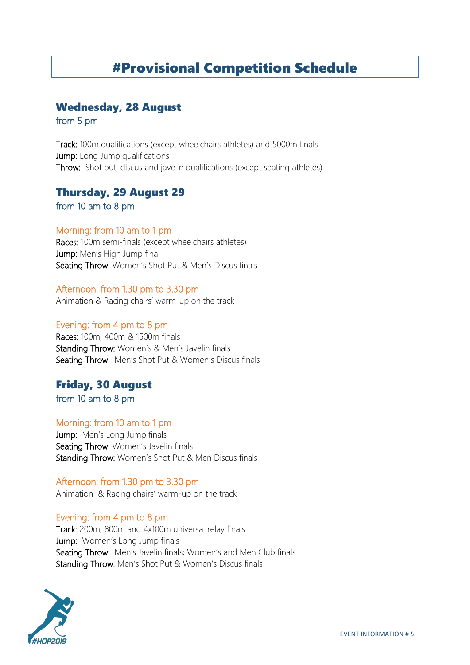# #Provisional Competition Schedule

## Wednesday, 28 August

from 5 pm

Track: 100m qualifications (except wheelchairs athletes) and 5000m finals Jump: Long Jump qualifications Throw: Shot put, discus and javelin qualifications (except seating athletes)

## Thursday, 29 August 29

from 10 am to 8 pm

#### Morning: from 10 am to 1 pm

Races: 100m semi-finals (except wheelchairs athletes) Jump: Men's High Jump final Seating Throw: Women's Shot Put & Men's Discus finals

#### Afternoon: from 1.30 pm to 3.30 pm

Animation & Racing chairs' warm-up on the track

#### Evening: from 4 pm to 8 pm

Races: 100m, 400m & 1500m finals Standing Throw: Women's & Men's Javelin finals Seating Throw: Men's Shot Put & Women's Discus finals

## Friday, 30 August

from 10 am to 8 pm

#### Morning: from 10 am to 1 pm

Jump: Men's Long Jump finals Seating Throw: Women's Javelin finals Standing Throw: Women's Shot Put & Men Discus finals

#### Afternoon: from 1.30 pm to 3.30 pm

Animation & Racing chairs' warm-up on the track

#### Evening: from 4 pm to 8 pm

Track: 200m, 800m and 4x100m universal relay finals Jump: Women's Long Jump finals Seating Throw: Men's Javelin finals; Women's and Men Club finals Standing Throw: Men's Shot Put & Women's Discus finals